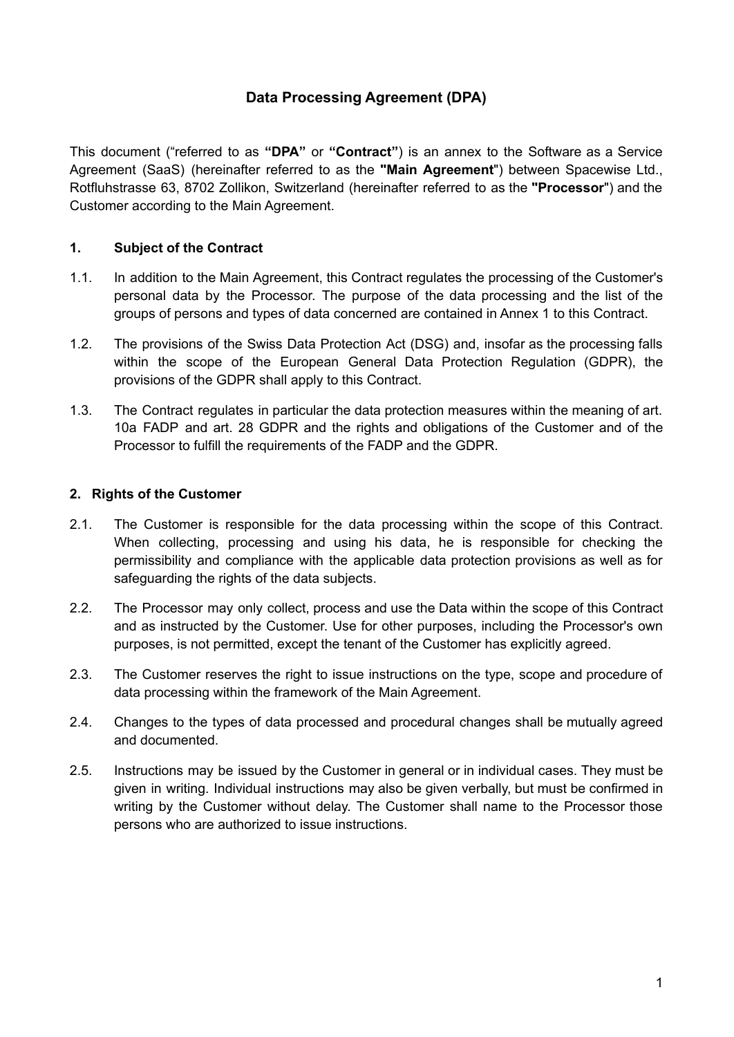# **Data Processing Agreement (DPA)**

This document ("referred to as **"DPA"** or **"Contract"**) is an annex to the Software as a Service Agreement (SaaS) (hereinafter referred to as the **"Main Agreement**") between Spacewise Ltd., Rotfluhstrasse 63, 8702 Zollikon, Switzerland (hereinafter referred to as the **"Processor**") and the Customer according to the Main Agreement.

## **1. Subject of the Contract**

- 1.1. In addition to the Main Agreement, this Contract regulates the processing of the Customer's personal data by the Processor. The purpose of the data processing and the list of the groups of persons and types of data concerned are contained in Annex 1 to this Contract.
- 1.2. The provisions of the Swiss Data Protection Act (DSG) and, insofar as the processing falls within the scope of the European General Data Protection Regulation (GDPR), the provisions of the GDPR shall apply to this Contract.
- 1.3. The Contract regulates in particular the data protection measures within the meaning of art. 10a FADP and art. 28 GDPR and the rights and obligations of the Customer and of the Processor to fulfill the requirements of the FADP and the GDPR.

## **2. Rights of the Customer**

- 2.1. The Customer is responsible for the data processing within the scope of this Contract. When collecting, processing and using his data, he is responsible for checking the permissibility and compliance with the applicable data protection provisions as well as for safeguarding the rights of the data subjects.
- 2.2. The Processor may only collect, process and use the Data within the scope of this Contract and as instructed by the Customer. Use for other purposes, including the Processor's own purposes, is not permitted, except the tenant of the Customer has explicitly agreed.
- 2.3. The Customer reserves the right to issue instructions on the type, scope and procedure of data processing within the framework of the Main Agreement.
- 2.4. Changes to the types of data processed and procedural changes shall be mutually agreed and documented.
- 2.5. Instructions may be issued by the Customer in general or in individual cases. They must be given in writing. Individual instructions may also be given verbally, but must be confirmed in writing by the Customer without delay. The Customer shall name to the Processor those persons who are authorized to issue instructions.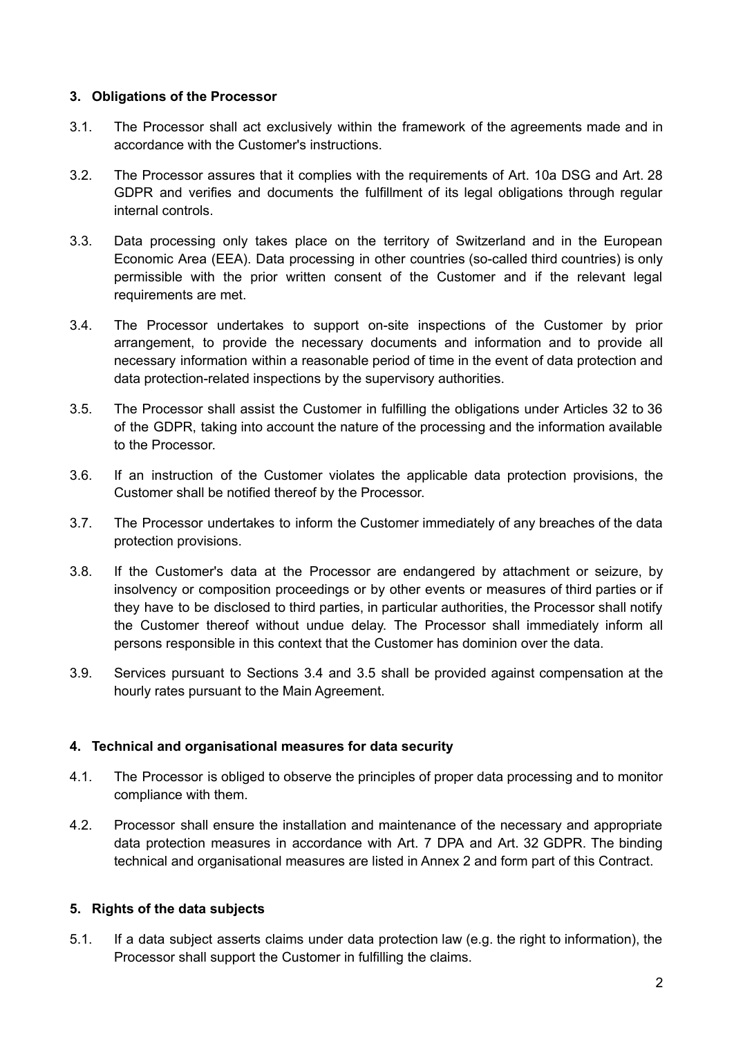#### **3. Obligations of the Processor**

- 3.1. The Processor shall act exclusively within the framework of the agreements made and in accordance with the Customer's instructions.
- 3.2. The Processor assures that it complies with the requirements of Art. 10a DSG and Art. 28 GDPR and verifies and documents the fulfillment of its legal obligations through regular internal controls.
- 3.3. Data processing only takes place on the territory of Switzerland and in the European Economic Area (EEA). Data processing in other countries (so-called third countries) is only permissible with the prior written consent of the Customer and if the relevant legal requirements are met.
- 3.4. The Processor undertakes to support on-site inspections of the Customer by prior arrangement, to provide the necessary documents and information and to provide all necessary information within a reasonable period of time in the event of data protection and data protection-related inspections by the supervisory authorities.
- 3.5. The Processor shall assist the Customer in fulfilling the obligations under Articles 32 to 36 of the GDPR, taking into account the nature of the processing and the information available to the Processor.
- 3.6. If an instruction of the Customer violates the applicable data protection provisions, the Customer shall be notified thereof by the Processor.
- 3.7. The Processor undertakes to inform the Customer immediately of any breaches of the data protection provisions.
- 3.8. If the Customer's data at the Processor are endangered by attachment or seizure, by insolvency or composition proceedings or by other events or measures of third parties or if they have to be disclosed to third parties, in particular authorities, the Processor shall notify the Customer thereof without undue delay. The Processor shall immediately inform all persons responsible in this context that the Customer has dominion over the data.
- 3.9. Services pursuant to Sections 3.4 and 3.5 shall be provided against compensation at the hourly rates pursuant to the Main Agreement.

#### **4. Technical and organisational measures for data security**

- 4.1. The Processor is obliged to observe the principles of proper data processing and to monitor compliance with them.
- 4.2. Processor shall ensure the installation and maintenance of the necessary and appropriate data protection measures in accordance with Art. 7 DPA and Art. 32 GDPR. The binding technical and organisational measures are listed in Annex 2 and form part of this Contract.

#### **5. Rights of the data subjects**

5.1. If a data subject asserts claims under data protection law (e.g. the right to information), the Processor shall support the Customer in fulfilling the claims.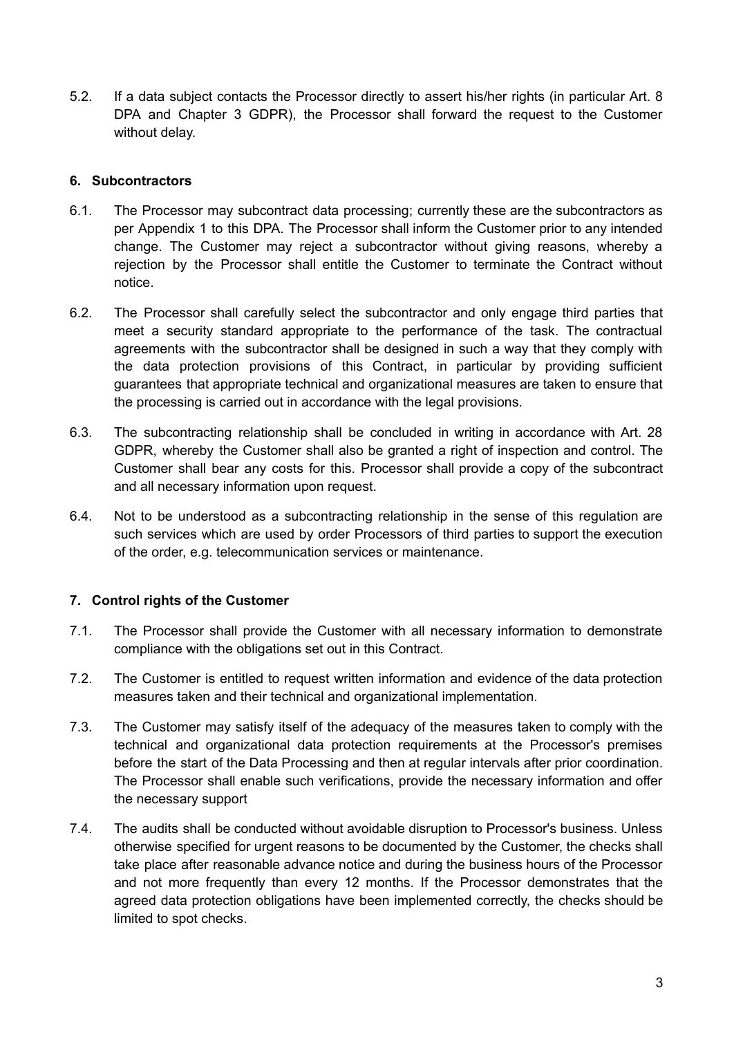5.2. If a data subject contacts the Processor directly to assert his/her rights (in particular Art. 8 DPA and Chapter 3 GDPR), the Processor shall forward the request to the Customer without delay.

### **6. Subcontractors**

- 6.1. The Processor may subcontract data processing; currently these are the subcontractors as per Appendix 1 to this DPA. The Processor shall inform the Customer prior to any intended change. The Customer may reject a subcontractor without giving reasons, whereby a rejection by the Processor shall entitle the Customer to terminate the Contract without notice.
- 6.2. The Processor shall carefully select the subcontractor and only engage third parties that meet a security standard appropriate to the performance of the task. The contractual agreements with the subcontractor shall be designed in such a way that they comply with the data protection provisions of this Contract, in particular by providing sufficient guarantees that appropriate technical and organizational measures are taken to ensure that the processing is carried out in accordance with the legal provisions.
- 6.3. The subcontracting relationship shall be concluded in writing in accordance with Art. 28 GDPR, whereby the Customer shall also be granted a right of inspection and control. The Customer shall bear any costs for this. Processor shall provide a copy of the subcontract and all necessary information upon request.
- 6.4. Not to be understood as a subcontracting relationship in the sense of this regulation are such services which are used by order Processors of third parties to support the execution of the order, e.g. telecommunication services or maintenance.

## **7. Control rights of the Customer**

- 7.1. The Processor shall provide the Customer with all necessary information to demonstrate compliance with the obligations set out in this Contract.
- 7.2. The Customer is entitled to request written information and evidence of the data protection measures taken and their technical and organizational implementation.
- 7.3. The Customer may satisfy itself of the adequacy of the measures taken to comply with the technical and organizational data protection requirements at the Processor's premises before the start of the Data Processing and then at regular intervals after prior coordination. The Processor shall enable such verifications, provide the necessary information and offer the necessary support
- 7.4. The audits shall be conducted without avoidable disruption to Processor's business. Unless otherwise specified for urgent reasons to be documented by the Customer, the checks shall take place after reasonable advance notice and during the business hours of the Processor and not more frequently than every 12 months. If the Processor demonstrates that the agreed data protection obligations have been implemented correctly, the checks should be limited to spot checks.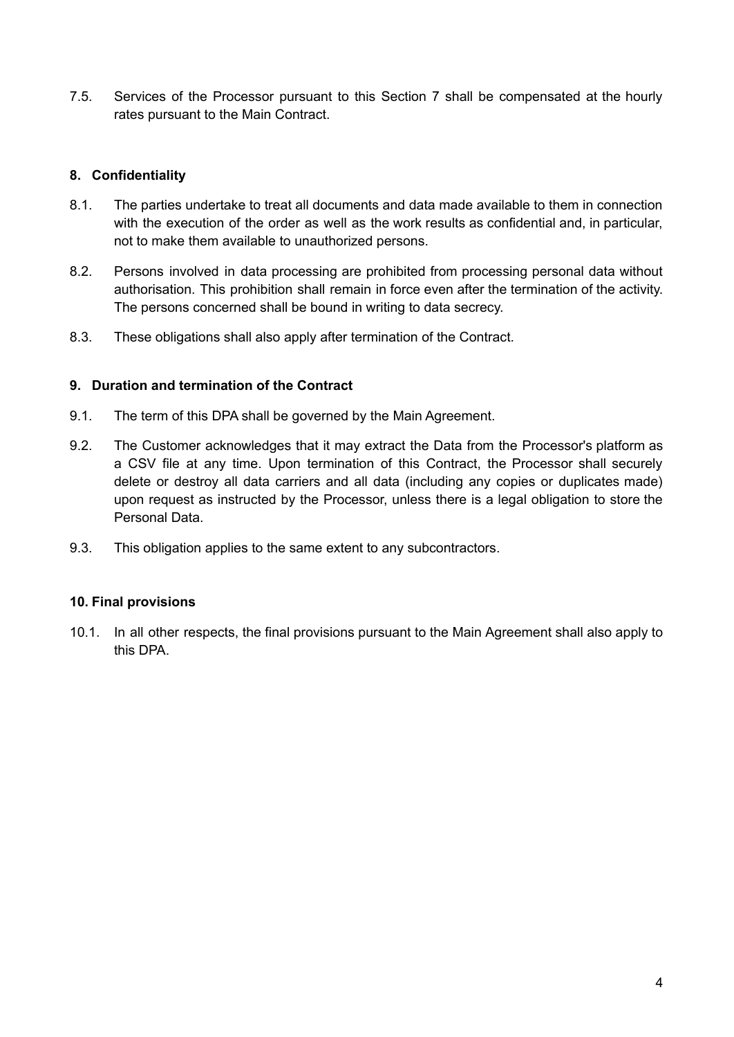7.5. Services of the Processor pursuant to this Section 7 shall be compensated at the hourly rates pursuant to the Main Contract.

## **8. Confidentiality**

- 8.1. The parties undertake to treat all documents and data made available to them in connection with the execution of the order as well as the work results as confidential and, in particular, not to make them available to unauthorized persons.
- 8.2. Persons involved in data processing are prohibited from processing personal data without authorisation. This prohibition shall remain in force even after the termination of the activity. The persons concerned shall be bound in writing to data secrecy.
- 8.3. These obligations shall also apply after termination of the Contract.

## **9. Duration and termination of the Contract**

- 9.1. The term of this DPA shall be governed by the Main Agreement.
- 9.2. The Customer acknowledges that it may extract the Data from the Processor's platform as a CSV file at any time. Upon termination of this Contract, the Processor shall securely delete or destroy all data carriers and all data (including any copies or duplicates made) upon request as instructed by the Processor, unless there is a legal obligation to store the Personal Data.
- 9.3. This obligation applies to the same extent to any subcontractors.

## **10. Final provisions**

10.1. In all other respects, the final provisions pursuant to the Main Agreement shall also apply to this DPA.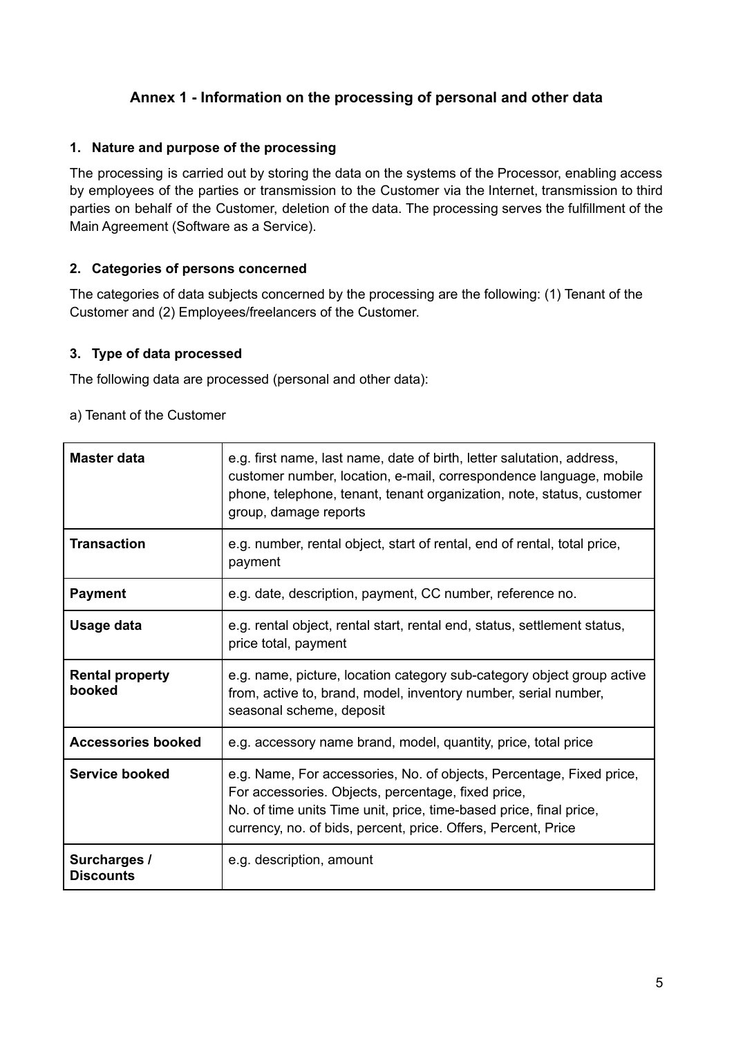# **Annex 1 - Information on the processing of personal and other data**

### **1. Nature and purpose of the processing**

The processing is carried out by storing the data on the systems of the Processor, enabling access by employees of the parties or transmission to the Customer via the Internet, transmission to third parties on behalf of the Customer, deletion of the data. The processing serves the fulfillment of the Main Agreement (Software as a Service).

## **2. Categories of persons concerned**

The categories of data subjects concerned by the processing are the following: (1) Tenant of the Customer and (2) Employees/freelancers of the Customer.

#### **3. Type of data processed**

The following data are processed (personal and other data):

| Master data                      | e.g. first name, last name, date of birth, letter salutation, address,<br>customer number, location, e-mail, correspondence language, mobile<br>phone, telephone, tenant, tenant organization, note, status, customer<br>group, damage reports                    |
|----------------------------------|-------------------------------------------------------------------------------------------------------------------------------------------------------------------------------------------------------------------------------------------------------------------|
| <b>Transaction</b>               | e.g. number, rental object, start of rental, end of rental, total price,<br>payment                                                                                                                                                                               |
| <b>Payment</b>                   | e.g. date, description, payment, CC number, reference no.                                                                                                                                                                                                         |
| Usage data                       | e.g. rental object, rental start, rental end, status, settlement status,<br>price total, payment                                                                                                                                                                  |
| <b>Rental property</b><br>booked | e.g. name, picture, location category sub-category object group active<br>from, active to, brand, model, inventory number, serial number,<br>seasonal scheme, deposit                                                                                             |
| <b>Accessories booked</b>        | e.g. accessory name brand, model, quantity, price, total price                                                                                                                                                                                                    |
| Service booked                   | e.g. Name, For accessories, No. of objects, Percentage, Fixed price,<br>For accessories. Objects, percentage, fixed price,<br>No. of time units Time unit, price, time-based price, final price,<br>currency, no. of bids, percent, price. Offers, Percent, Price |
| Surcharges /<br><b>Discounts</b> | e.g. description, amount                                                                                                                                                                                                                                          |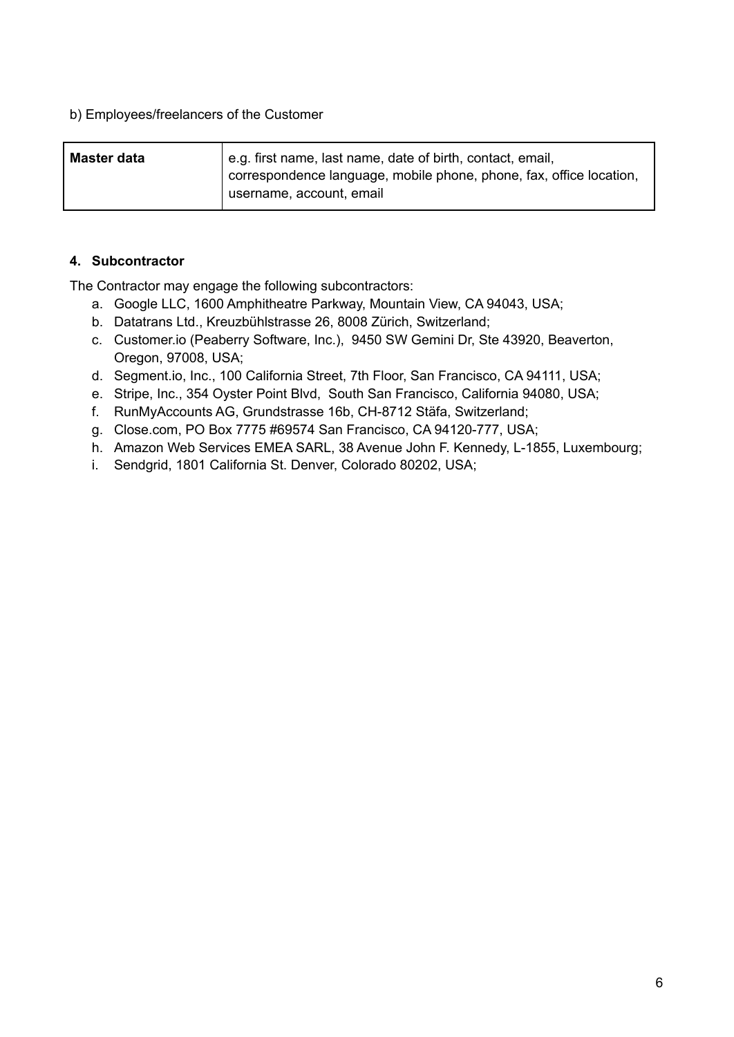#### b) Employees/freelancers of the Customer

| Master data | e.g. first name, last name, date of birth, contact, email,<br>correspondence language, mobile phone, phone, fax, office location,<br>username, account, email |
|-------------|---------------------------------------------------------------------------------------------------------------------------------------------------------------|
|             |                                                                                                                                                               |

#### **4. Subcontractor**

The Contractor may engage the following subcontractors:

- a. Google LLC, 1600 Amphitheatre Parkway, Mountain View, CA 94043, USA;
- b. Datatrans Ltd., Kreuzbühlstrasse 26, 8008 Zürich, Switzerland;
- c. Customer.io (Peaberry Software, Inc.), 9450 SW Gemini Dr, Ste 43920, Beaverton, Oregon, 97008, USA;
- d. Segment.io, Inc., 100 California Street, 7th Floor, San Francisco, CA 94111, USA;
- e. Stripe, Inc., 354 Oyster Point Blvd, South San Francisco, California 94080, USA;
- f. RunMyAccounts AG, Grundstrasse 16b, CH-8712 Stäfa, Switzerland;
- g. Close.com, PO Box 7775 #69574 San Francisco, CA 94120-777, USA;
- h. Amazon Web Services EMEA SARL, 38 Avenue John F. Kennedy, L-1855, Luxembourg;
- i. Sendgrid, 1801 California St. Denver, Colorado 80202, USA;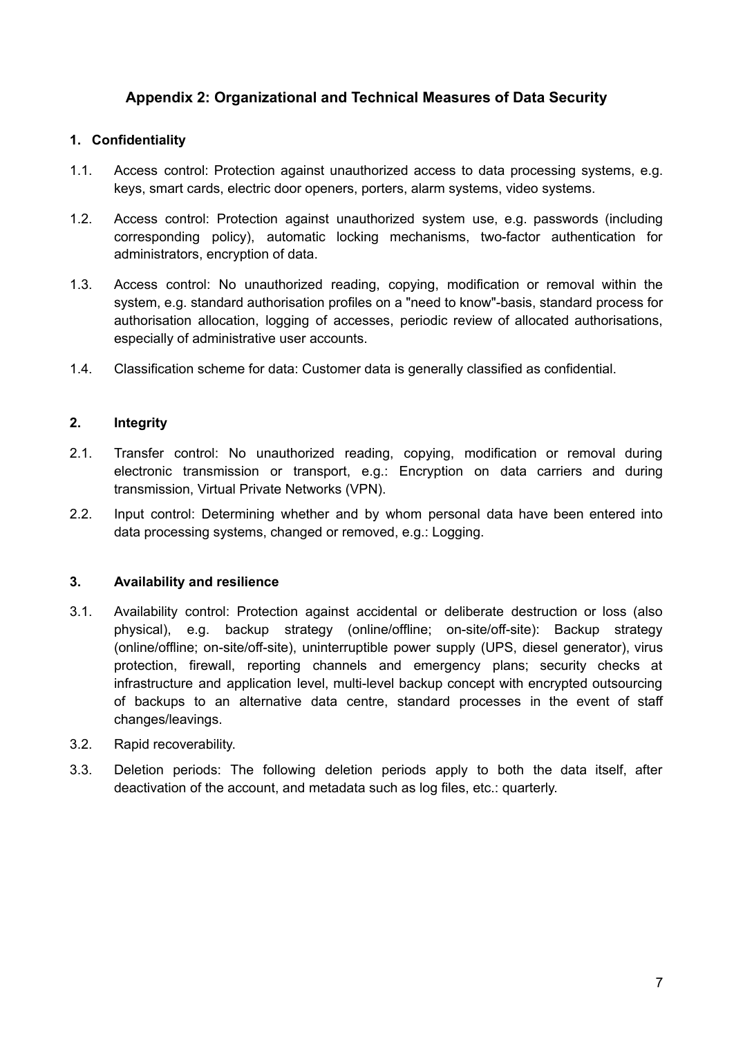# **Appendix 2: Organizational and Technical Measures of Data Security**

## **1. Confidentiality**

- 1.1. Access control: Protection against unauthorized access to data processing systems, e.g. keys, smart cards, electric door openers, porters, alarm systems, video systems.
- 1.2. Access control: Protection against unauthorized system use, e.g. passwords (including corresponding policy), automatic locking mechanisms, two-factor authentication for administrators, encryption of data.
- 1.3. Access control: No unauthorized reading, copying, modification or removal within the system, e.g. standard authorisation profiles on a "need to know"-basis, standard process for authorisation allocation, logging of accesses, periodic review of allocated authorisations, especially of administrative user accounts.
- 1.4. Classification scheme for data: Customer data is generally classified as confidential.

#### **2. Integrity**

- 2.1. Transfer control: No unauthorized reading, copying, modification or removal during electronic transmission or transport, e.g.: Encryption on data carriers and during transmission, Virtual Private Networks (VPN).
- 2.2. Input control: Determining whether and by whom personal data have been entered into data processing systems, changed or removed, e.g.: Logging.

#### **3. Availability and resilience**

- 3.1. Availability control: Protection against accidental or deliberate destruction or loss (also physical), e.g. backup strategy (online/offline; on-site/off-site): Backup strategy (online/offline; on-site/off-site), uninterruptible power supply (UPS, diesel generator), virus protection, firewall, reporting channels and emergency plans; security checks at infrastructure and application level, multi-level backup concept with encrypted outsourcing of backups to an alternative data centre, standard processes in the event of staff changes/leavings.
- 3.2. Rapid recoverability.
- 3.3. Deletion periods: The following deletion periods apply to both the data itself, after deactivation of the account, and metadata such as log files, etc.: quarterly.